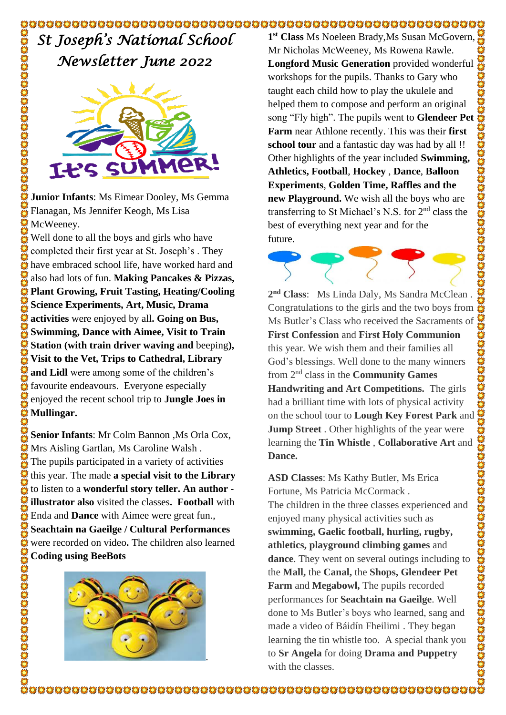*St Joseph's National School Newsletter June 2022* 



**Junior Infants**: Ms Eimear Dooley, Ms Gemma Flanagan, Ms Jennifer Keogh, Ms Lisa McWeeney.

Well done to all the boys and girls who have completed their first year at St. Joseph's . They have embraced school life, have worked hard and also had lots of fun. **Making Pancakes & Pizzas, Plant Growing, Fruit Tasting, Heating/Cooling Science Experiments, Art, Music, Drama activities** were enjoyed by all**. Going on Bus, Swimming, Dance with Aimee, Visit to Train Station (with train driver waving and** beeping**), Visit to the Vet, Trips to Cathedral, Library and Lidl** were among some of the children's favourite endeavours. Everyone especially enjoyed the recent school trip to **Jungle Joes in Mullingar.**

**Senior Infants**: Mr Colm Bannon ,Ms Orla Cox, Mrs Aisling Gartlan, Ms Caroline Walsh . The pupils participated in a variety of activities this year. The made **a special visit to the Library**  to listen to a **wonderful story teller. An author illustrator also** visited the classes**. Football** with Enda and **Dance** with Aimee were great fun., **Seachtain na Gaeilge / Cultural Performances**  were recorded on video**.** The children also learned **Coding using BeeBots**



**1 st Class** Ms Noeleen Brady,Ms Susan McGovern, Mr Nicholas McWeeney, Ms Rowena Rawle. **Longford Music Generation** provided wonderful workshops for the pupils. Thanks to Gary who taught each child how to play the ukulele and helped them to compose and perform an original song "Fly high". The pupils went to **Glendeer Pet Farm** near Athlone recently. This was their **first school tour** and a fantastic day was had by all !! Other highlights of the year included **Swimming, Athletics, Football**, **Hockey** , **Dance**, **Balloon Experiments**, **Golden Time, Raffles and the new Playground.** We wish all the boys who are transferring to St Michael's N.S. for 2nd class the best of everything next year and for the future.



**2 nd Class**: Ms Linda Daly, Ms Sandra McClean . Congratulations to the girls and the two boys from Ms Butler's Class who received the Sacraments of **First Confession** and **First Holy Communion** this year. We wish them and their families all God's blessings. Well done to the many winners from 2nd class in the **Community Games Handwriting and Art Competitions.** The girls had a brilliant time with lots of physical activity on the school tour to **Lough Key Forest Park** and **Jump Street** . Other highlights of the year were learning the **Tin Whistle** , **Collaborative Art** and **Dance.**

**ASD Classes**: Ms Kathy Butler, Ms Erica Fortune, Ms Patricia McCormack . The children in the three classes experienced and enjoyed many physical activities such as **swimming, Gaelic football, hurling, rugby, athletics, playground climbing games** and **dance**. They went on several outings including to the **Mall,** the **Canal,** the **Shops, Glendeer Pet Farm** and **Megabowl,** The pupils recorded performances for **Seachtain na Gaeilge**. Well done to Ms Butler's boys who learned, sang and made a video of Báidín Fheilimi . They began learning the tin whistle too. A special thank you to **Sr Angela** for doing **Drama and Puppetry** with the classes.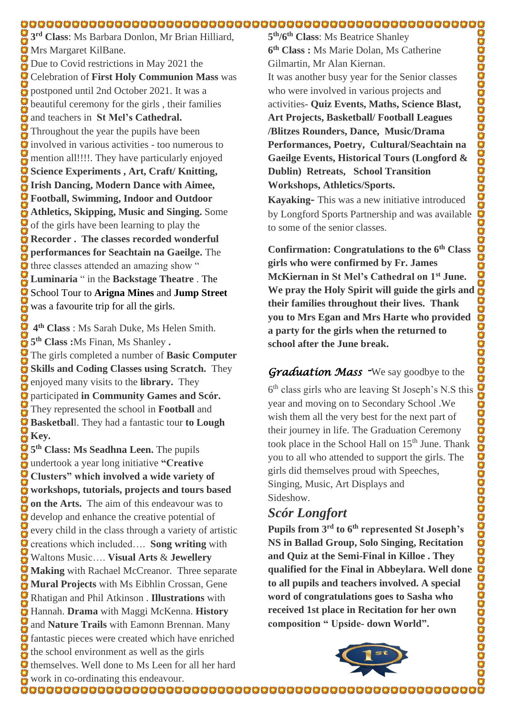#### 

**3 rd Class**: Ms Barbara Donlon, Mr Brian Hilliard, **Mrs Margaret KilBane.** Due to Covid restrictions in May 2021 the Celebration of **First Holy Communion Mass** was postponed until 2nd October 2021. It was a  $\ddot{\ddot{\mathbf{z}}}$  beautiful ceremony for the girls, their families and teachers in **St Mel's Cathedral.**  Throughout the year the pupils have been  $\ddot{\mathbf{\Omega}}$  involved in various activities - too numerous to mention all!!!!. They have particularly enjoyed **Science Experiments , Art, Craft/ Knitting, Irish Dancing, Modern Dance with Aimee, Football, Swimming, Indoor and Outdoor Athletics, Skipping, Music and Singing.** Some of the girls have been learning to play the **Recorder . The classes recorded wonderful** OS CES **performances for Seachtain na Gaeilge.** The three classes attended an amazing show " **Luminaria** " in the **Backstage Theatre** . The School Tour to **Arigna Mines** and **Jump Street** was a favourite trip for all the girls.

**4 th Class** : Ms Sarah Duke, Ms Helen Smith. **5 th Class :**Ms Finan, Ms Shanley **.**  The girls completed a number of **Basic Computer Skills and Coding Classes using Scratch.** They enjoyed many visits to the **library.** They enjoyed many visits to the **library.** They<br>aparticipated in Community Games and Scór. They represented the school in **Football** and **Basketbal**l. They had a fantastic tour **to Lough Key.**<br> $\frac{1}{M}$  Key.

**5 th Class: Ms Seadhna Leen.** The pupils undertook a year long initiative **"Creative Clusters" which involved a wide variety of workshops, tutorials, projects and tours based on the Arts.** The aim of this endeavour was to develop and enhance the creative potential of every child in the class through a variety of artistic  $\bullet$  creations which included…. **Song writing** with Waltons Music…. **Visual Arts** & **Jewellery Making** with Rachael McCreanor. Three separate **Mural Projects** with Ms Eibhlin Crossan, Gene Rhatigan and Phil Atkinson . **Illustrations** with Hannah. **Drama** with Maggi McKenna. **History** and **Nature Trails** with Eamonn Brennan. Many **C** fantastic pieces were created which have enriched the school environment as well as the girls themselves. Well done to Ms Leen for all her hard work in co-ordinating this endeavour.

**5 th/6 th Class**: Ms Beatrice Shanley **6 th Class :** Ms Marie Dolan, Ms Catherine Gilmartin, Mr Alan Kiernan. It was another busy year for the Senior classes who were involved in various projects and activities- **Quiz Events, Maths, Science Blast, Art Projects, Basketball/ Football Leagues /Blitzes Rounders, Dance, Music/Drama Performances, Poetry, Cultural/Seachtain na Gaeilge Events, Historical Tours (Longford & Dublin) Retreats, School Transition Workshops, Athletics/Sports.** 5<sup>th</sup>/G<sup>th</sup> Class: Ms Beatrice Shanley<br>
G<sup>th</sup>/Class: Ms Marie Dolan, Ms Catherine<br>
Gilmartin, Mr Alan Kieman.<br>
It was another busy year for the Senior classes<br>
who were involved in various projects and<br>
activities- Quize E

**Kayaking-** This was a new initiative introduced by Longford Sports Partnership and was available to some of the senior classes.

**Confirmation: Congratulations to the 6th Class girls who were confirmed by Fr. James McKiernan in St Mel's Cathedral on 1st June. their families throughout their lives. Thank you to Mrs Egan and Mrs Harte who provided a party for the girls when the returned to school after the June break.** 

#### *Graduation Mass -*We say goodbye to the

6 th class girls who are leaving St Joseph's N.S this year and moving on to Secondary School .We wish them all the very best for the next part of their journey in life. The Graduation Ceremony took place in the School Hall on  $15<sup>th</sup>$  June. Thank you to all who attended to support the girls. The girls did themselves proud with Speeches, Singing, Music, Art Displays and Sideshow.

# *Scór Longfort*

**Pupils from 3rd to 6th represented St Joseph's NS in Ballad Group, Solo Singing, Recitation and Quiz at the Semi-Final in Killoe . They qualified for the Final in Abbeylara. Well done to all pupils and teachers involved. A special word of congratulations goes to Sasha who received 1st place in Recitation for her own composition " Upside- down World".**